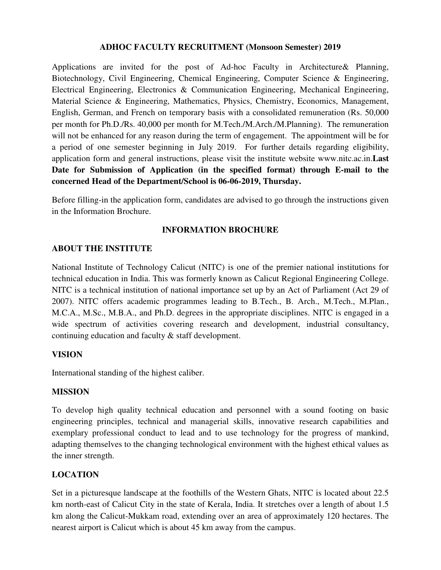## **ADHOC FACULTY RECRUITMENT (Monsoon Semester) 2019**

Applications are invited for the post of Ad-hoc Faculty in Architecture& Planning, Biotechnology, Civil Engineering, Chemical Engineering, Computer Science & Engineering, Electrical Engineering, Electronics & Communication Engineering, Mechanical Engineering, Material Science & Engineering, Mathematics, Physics, Chemistry, Economics, Management, English, German, and French on temporary basis with a consolidated remuneration (Rs. 50,000 per month for Ph.D./Rs. 40,000 per month for M.Tech./M.Arch./M.Planning). The remuneration will not be enhanced for any reason during the term of engagement. The appointment will be for a period of one semester beginning in July 2019. For further details regarding eligibility, application form and general instructions, please visit the institute website www.nitc.ac.in.**Last Date for Submission of Application (in the specified format) through E-mail to the concerned Head of the Department/School is 06-06-2019, Thursday.** 

Before filling-in the application form, candidates are advised to go through the instructions given in the Information Brochure.

## **INFORMATION BROCHURE**

### **ABOUT THE INSTITUTE**

National Institute of Technology Calicut (NITC) is one of the premier national institutions for technical education in India. This was formerly known as Calicut Regional Engineering College. NITC is a technical institution of national importance set up by an Act of Parliament (Act 29 of 2007). NITC offers academic programmes leading to B.Tech., B. Arch., M.Tech., M.Plan., M.C.A., M.Sc., M.B.A., and Ph.D. degrees in the appropriate disciplines. NITC is engaged in a wide spectrum of activities covering research and development, industrial consultancy, continuing education and faculty & staff development.

### **VISION**

International standing of the highest caliber.

#### **MISSION**

To develop high quality technical education and personnel with a sound footing on basic engineering principles, technical and managerial skills, innovative research capabilities and exemplary professional conduct to lead and to use technology for the progress of mankind, adapting themselves to the changing technological environment with the highest ethical values as the inner strength.

### **LOCATION**

Set in a picturesque landscape at the foothills of the Western Ghats, NITC is located about 22.5 km north-east of Calicut City in the state of Kerala, India. It stretches over a length of about 1.5 km along the Calicut-Mukkam road, extending over an area of approximately 120 hectares. The nearest airport is Calicut which is about 45 km away from the campus.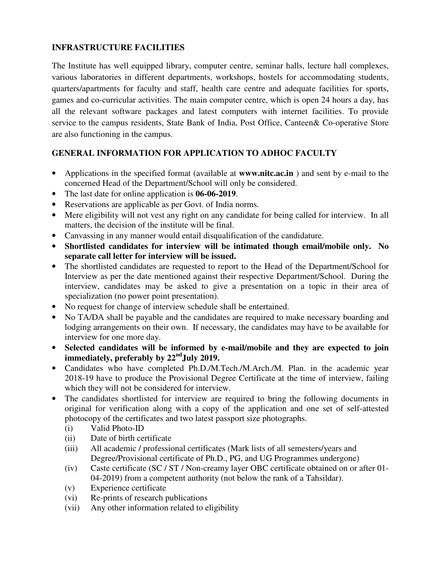# **INFRASTRUCTURE FACILITIES**

The Institute has well equipped library, computer centre, seminar halls, lecture hall complexes, various laboratories in different departments, workshops, hostels for accommodating students, quarters/apartments for faculty and staff, health care centre and adequate facilities for sports, games and co-curricular activities. The main computer centre, which is open 24 hours a day, has all the relevant software packages and latest computers with internet facilities. To provide service to the campus residents, State Bank of India, Post Office, Canteen& Co-operative Store are also functioning in the campus.

# **GENERAL INFORMATION FOR APPLICATION TO ADHOC FACULTY**

- Applications in the specified format (available at **www.nitc.ac.in** ) and sent by e-mail to the concerned Head of the Department/School will only be considered.
- The last date for online application is **06-06-2019**.
- Reservations are applicable as per Govt. of India norms.
- Mere eligibility will not vest any right on any candidate for being called for interview. In all matters, the decision of the institute will be final.
- Canvassing in any manner would entail disqualification of the candidature.
- **Shortlisted candidates for interview will be intimated though email/mobile only. No separate call letter for interview will be issued.**
- The shortlisted candidates are requested to report to the Head of the Department/School for Interview as per the date mentioned against their respective Department/School. During the interview, candidates may be asked to give a presentation on a topic in their area of specialization (no power point presentation).
- No request for change of interview schedule shall be entertained.
- No TA/DA shall be payable and the candidates are required to make necessary boarding and lodging arrangements on their own. If necessary, the candidates may have to be available for interview for one more day.
- **Selected candidates will be informed by e-mail/mobile and they are expected to join immediately, preferably by 22ndJuly 2019.**
- Candidates who have completed Ph.D./M.Tech./M.Arch./M. Plan. in the academic year 2018-19 have to produce the Provisional Degree Certificate at the time of interview, failing which they will not be considered for interview.
- The candidates shortlisted for interview are required to bring the following documents in original for verification along with a copy of the application and one set of self-attested photocopy of the certificates and two latest passport size photographs.
	- (i) Valid Photo-ID
	- (ii) Date of birth certificate
	- (iii) All academic / professional certificates (Mark lists of all semesters/years and Degree/Provisional certificate of Ph.D., PG, and UG Programmes undergone)
	- (iv) Caste certificate (SC / ST / Non-creamy layer OBC certificate obtained on or after 01- 04-2019) from a competent authority (not below the rank of a Tahsildar).
	- (v) Experience certificate
	- (vi) Re-prints of research publications
	- (vii) Any other information related to eligibility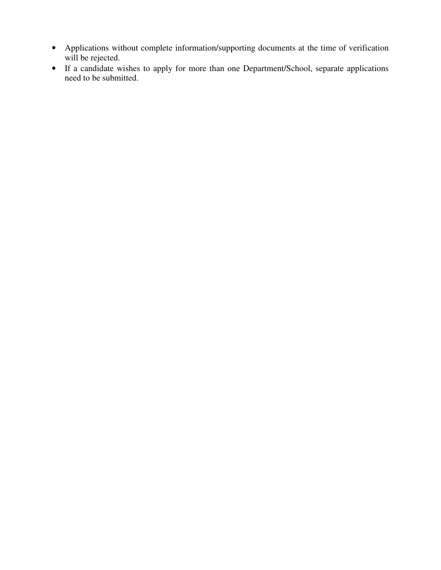- Applications without complete information/supporting documents at the time of verification will be rejected.
- If a candidate wishes to apply for more than one Department/School, separate applications need to be submitted.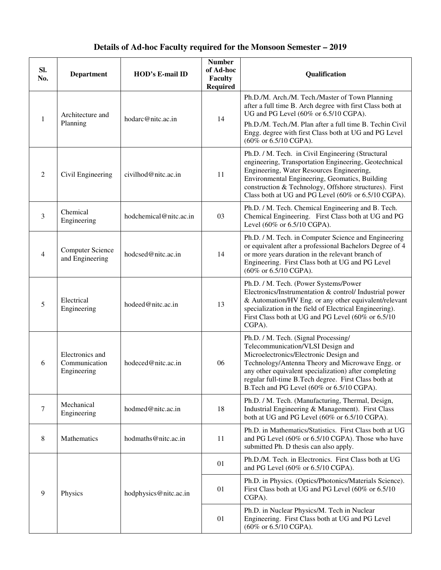# **Details of Ad-hoc Faculty required for the Monsoon Semester – 2019**

| Sl.<br>No.     | <b>Department</b>                               | HOD's E-mail ID        | <b>Number</b><br>of Ad-hoc<br>Faculty<br><b>Required</b> | Qualification                                                                                                                                                                                                                                                                                                                         |
|----------------|-------------------------------------------------|------------------------|----------------------------------------------------------|---------------------------------------------------------------------------------------------------------------------------------------------------------------------------------------------------------------------------------------------------------------------------------------------------------------------------------------|
| 1              | Architecture and<br>Planning                    | hodarc@nitc.ac.in      | 14                                                       | Ph.D./M. Arch./M. Tech./Master of Town Planning<br>after a full time B. Arch degree with first Class both at<br>UG and PG Level (60% or 6.5/10 CGPA).<br>Ph.D./M. Tech./M. Plan after a full time B. Techin Civil<br>Engg. degree with first Class both at UG and PG Level<br>(60% or 6.5/10 CGPA).                                   |
| 2              | Civil Engineering                               | civilhod@nitc.ac.in    | 11                                                       | Ph.D. / M. Tech. in Civil Engineering (Structural<br>engineering, Transportation Engineering, Geotechnical<br>Engineering, Water Resources Engineering,<br>Environmental Engineering, Geomatics, Building<br>construction & Technology, Offshore structures). First<br>Class both at UG and PG Level (60% or 6.5/10 CGPA).            |
| $\overline{3}$ | Chemical<br>Engineering                         | hodchemical@nitc.ac.in | 03                                                       | Ph.D. / M. Tech. Chemical Engineering and B. Tech.<br>Chemical Engineering. First Class both at UG and PG<br>Level (60% or 6.5/10 CGPA).                                                                                                                                                                                              |
| 4              | <b>Computer Science</b><br>and Engineering      | hodcsed@nitc.ac.in     | 14                                                       | Ph.D. / M. Tech. in Computer Science and Engineering<br>or equivalent after a professional Bachelors Degree of 4<br>or more years duration in the relevant branch of<br>Engineering. First Class both at UG and PG Level<br>(60% or 6.5/10 CGPA).                                                                                     |
| 5              | Electrical<br>Engineering                       | hodeed@nitc.ac.in      | 13                                                       | Ph.D. / M. Tech. (Power Systems/Power<br>Electronics/Instrumentation & control/ Industrial power<br>& Automation/HV Eng. or any other equivalent/relevant<br>specialization in the field of Electrical Engineering).<br>First Class both at UG and PG Level (60% or 6.5/10)<br>CGPA).                                                 |
| 6              | Electronics and<br>Communication<br>Engineering | hodeced@nitc.ac.in     | 06                                                       | Ph.D. / M. Tech. (Signal Processing/<br>Telecommunication/VLSI Design and<br>Microelectronics/Electronic Design and<br>Technology/Antenna Theory and Microwave Engg. or<br>any other equivalent specialization) after completing<br>regular full-time B.Tech degree. First Class both at<br>B.Tech and PG Level (60% or 6.5/10 CGPA). |
| 7              | Mechanical<br>Engineering                       | hodmed@nitc.ac.in      | 18                                                       | Ph.D. / M. Tech. (Manufacturing, Thermal, Design,<br>Industrial Engineering & Management). First Class<br>both at UG and PG Level (60% or 6.5/10 CGPA).                                                                                                                                                                               |
| 8              | Mathematics                                     | hodmaths@nitc.ac.in    | 11                                                       | Ph.D. in Mathematics/Statistics. First Class both at UG<br>and PG Level (60% or 6.5/10 CGPA). Those who have<br>submitted Ph. D thesis can also apply.                                                                                                                                                                                |
| 9              | Physics                                         | hodphysics@nitc.ac.in  | 01                                                       | Ph.D./M. Tech. in Electronics. First Class both at UG<br>and PG Level (60% or 6.5/10 CGPA).                                                                                                                                                                                                                                           |
|                |                                                 |                        | 01                                                       | Ph.D. in Physics. (Optics/Photonics/Materials Science).<br>First Class both at UG and PG Level (60% or 6.5/10)<br>CGPA).                                                                                                                                                                                                              |
|                |                                                 |                        | 01                                                       | Ph.D. in Nuclear Physics/M. Tech in Nuclear<br>Engineering. First Class both at UG and PG Level<br>(60% or 6.5/10 CGPA).                                                                                                                                                                                                              |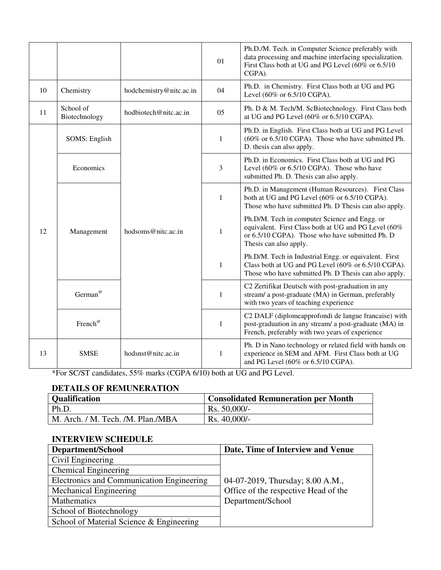|    |                            |                         | 01           | Ph.D./M. Tech. in Computer Science preferably with<br>data processing and machine interfacing specialization.<br>First Class both at UG and PG Level (60% or 6.5/10)<br>CGPA).     |
|----|----------------------------|-------------------------|--------------|------------------------------------------------------------------------------------------------------------------------------------------------------------------------------------|
| 10 | Chemistry                  | hodchemistry@nitc.ac.in | 04           | Ph.D. in Chemistry. First Class both at UG and PG<br>Level (60% or 6.5/10 CGPA).                                                                                                   |
| 11 | School of<br>Biotechnology | hodbiotech@nitc.ac.in   | 05           | Ph. D & M. Tech/M. ScBiotechnology. First Class both<br>at UG and PG Level (60% or 6.5/10 CGPA).                                                                                   |
| 12 | <b>SOMS: English</b>       | hodsoms@nitc.ac.in      | 1            | Ph.D. in English. First Class both at UG and PG Level<br>(60% or 6.5/10 CGPA). Those who have submitted Ph.<br>D. thesis can also apply.                                           |
|    | Economics                  |                         | 3            | Ph.D. in Economics. First Class both at UG and PG<br>Level (60% or 6.5/10 CGPA). Those who have<br>submitted Ph. D. Thesis can also apply.                                         |
|    | Management                 |                         | $\mathbf{1}$ | Ph.D. in Management (Human Resources). First Class<br>both at UG and PG Level (60% or 6.5/10 CGPA).<br>Those who have submitted Ph. D Thesis can also apply.                       |
|    |                            |                         | $\,1\,$      | Ph.D/M. Tech in computer Science and Engg. or<br>equivalent. First Class both at UG and PG Level (60%<br>or 6.5/10 CGPA). Those who have submitted Ph. D<br>Thesis can also apply. |
|    |                            |                         | $\mathbf{1}$ | Ph.D/M. Tech in Industrial Engg. or equivalent. First<br>Class both at UG and PG Level (60% or 6.5/10 CGPA).<br>Those who have submitted Ph. D Thesis can also apply.              |
|    | German <sup>@</sup>        |                         | $\mathbf{1}$ | C2 Zertifikat Deutsch with post-graduation in any<br>stream/ a post-graduate (MA) in German, preferably<br>with two years of teaching experience                                   |
|    | French®                    |                         | $\mathbf{1}$ | C2 DALF (diplomeapprofondi de langue francaise) with<br>post-graduation in any stream/ a post-graduate (MA) in<br>French, preferably with two years of experience                  |
| 13 | <b>SMSE</b>                | hodsnst@nitc.ac.in      | 1            | Ph. D in Nano technology or related field with hands on<br>experience in SEM and AFM. First Class both at UG<br>and PG Level (60% or 6.5/10 CGPA).                                 |

\*For SC/ST candidates, 55% marks (CGPA 6/10) both at UG and PG Level.

# **DETAILS OF REMUNERATION**

| <b>Qualification</b>              | <b>Consolidated Remuneration per Month</b> |
|-----------------------------------|--------------------------------------------|
| Ph.D.                             | Rs. 50,000/-                               |
| M. Arch. / M. Tech. /M. Plan./MBA | $Rs.40,000/-$                              |

# **INTERVIEW SCHEDULE**

| Department/School                         | Date, Time of Interview and Venue                                        |
|-------------------------------------------|--------------------------------------------------------------------------|
| Civil Engineering                         |                                                                          |
| <b>Chemical Engineering</b>               | 04-07-2019, Thursday; 8.00 A.M.,<br>Office of the respective Head of the |
| Electronics and Communication Engineering |                                                                          |
| Mechanical Engineering                    |                                                                          |
| Mathematics                               | Department/School                                                        |
| School of Biotechnology                   |                                                                          |
| School of Material Science & Engineering  |                                                                          |